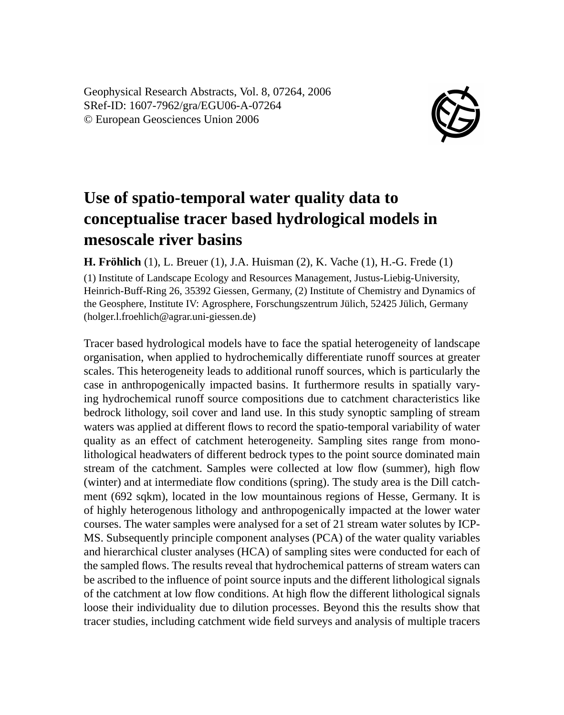Geophysical Research Abstracts, Vol. 8, 07264, 2006 SRef-ID: 1607-7962/gra/EGU06-A-07264 © European Geosciences Union 2006



## **Use of spatio-temporal water quality data to conceptualise tracer based hydrological models in mesoscale river basins**

**H. Fröhlich** (1), L. Breuer (1), J.A. Huisman (2), K. Vache (1), H.-G. Frede (1)

(1) Institute of Landscape Ecology and Resources Management, Justus-Liebig-University, Heinrich-Buff-Ring 26, 35392 Giessen, Germany, (2) Institute of Chemistry and Dynamics of the Geosphere, Institute IV: Agrosphere, Forschungszentrum Jülich, 52425 Jülich, Germany (holger.l.froehlich@agrar.uni-giessen.de)

Tracer based hydrological models have to face the spatial heterogeneity of landscape organisation, when applied to hydrochemically differentiate runoff sources at greater scales. This heterogeneity leads to additional runoff sources, which is particularly the case in anthropogenically impacted basins. It furthermore results in spatially varying hydrochemical runoff source compositions due to catchment characteristics like bedrock lithology, soil cover and land use. In this study synoptic sampling of stream waters was applied at different flows to record the spatio-temporal variability of water quality as an effect of catchment heterogeneity. Sampling sites range from monolithological headwaters of different bedrock types to the point source dominated main stream of the catchment. Samples were collected at low flow (summer), high flow (winter) and at intermediate flow conditions (spring). The study area is the Dill catchment (692 sqkm), located in the low mountainous regions of Hesse, Germany. It is of highly heterogenous lithology and anthropogenically impacted at the lower water courses. The water samples were analysed for a set of 21 stream water solutes by ICP-MS. Subsequently principle component analyses (PCA) of the water quality variables and hierarchical cluster analyses (HCA) of sampling sites were conducted for each of the sampled flows. The results reveal that hydrochemical patterns of stream waters can be ascribed to the influence of point source inputs and the different lithological signals of the catchment at low flow conditions. At high flow the different lithological signals loose their individuality due to dilution processes. Beyond this the results show that tracer studies, including catchment wide field surveys and analysis of multiple tracers